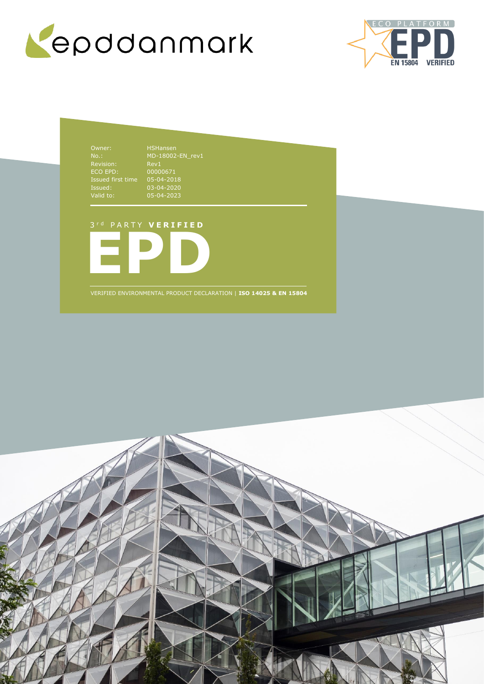



Owner: HSHansen No.: Revision: ECO EPD: 00000671 Issued first time 05-04-2018 Issued: 03-04-2020 Valid to: 05-04-2023

MD-18002-EN\_rev1 Rev1

### 3 r d P A R T Y **V E R I F I E D**



VERIFIED ENVIRONMENTAL PRODUCT DECLARATION | **ISO 14025 & EN 15804**

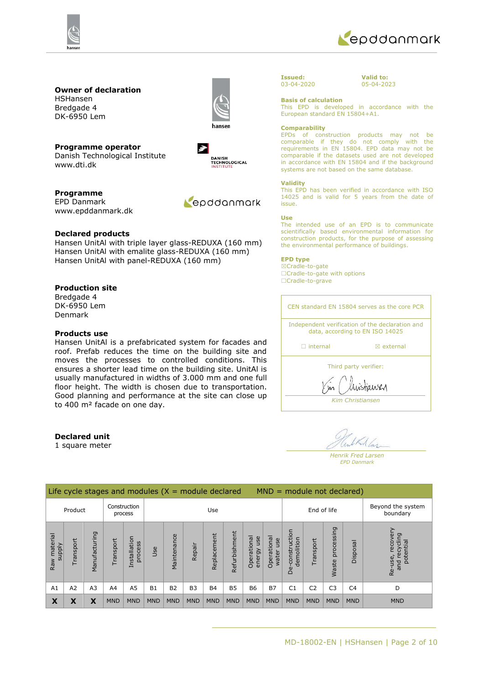



## **Owner of declaration**

HSHansen Bredgade 4 DK-6950 Lem



**Programme operator** Danish Technological Institute www.dti.dk

 $\rightarrow$ DANISH<br>TECHNOLOGICAL<br>INSTITUTE

**Programme** EPD Danmark www.epddanmark.dk

Leoddanmark

### **Declared products**

Hansen UnitAl with triple layer glass-REDUXA (160 mm) Hansen UnitAl with emalite glass-REDUXA (160 mm) Hansen UnitAl with panel-REDUXA (160 mm)

### **Production site**

Bredgade 4 DK-6950 Lem Denmark

### **Products use**

Hansen UnitAl is a prefabricated system for facades and roof. Prefab reduces the time on the building site and moves the processes to controlled conditions. This ensures a shorter lead time on the building site. UnitAl is usually manufactured in widths of 3.000 mm and one full floor height. The width is chosen due to transportation. Good planning and performance at the site can close up to 400 m² facade on one day.

### **Declared unit**

1 square meter

| _____                 |  |
|-----------------------|--|
| $\sim$<br><br>__<br>× |  |

**Valid to:** 05-04-2023

#### **Basis of calculation**

This EPD is developed in accordance with the European standard EN 15804+A1.

#### **Comparability**

EPDs of construction products may not be comparable if they do not comply with the requirements in EN 15804. EPD data may not be comparable if the datasets used are not developed in accordance with EN 15804 and if the background systems are not based on the same database.

#### **Validity**

This EPD has been verified in accordance with ISO 14025 and is valid for 5 years from the date of issue.

#### **Use**

The intended use of an EPD is to communicate scientifically based environmental information for construction products, for the purpose of assessing the environmental performance of buildings.

#### **EPD type**

☒Cradle-to-gate □Cradle-to-gate with options ☐Cradle-to-grave

| CEN standard EN 15804 serves as the core PCR                                       |                      |  |  |  |  |
|------------------------------------------------------------------------------------|----------------------|--|--|--|--|
| Independent verification of the declaration and<br>data, according to EN ISO 14025 |                      |  |  |  |  |
| $\Box$ internal                                                                    | $\boxtimes$ external |  |  |  |  |
| Third party verifier:                                                              |                      |  |  |  |  |
|                                                                                    |                      |  |  |  |  |

*Kim Christiansen*

uistiaue

*Henrik Fred Larsen EPD Danmark*

|                        | $MND = module not declared)$<br>Life cycle stages and modules $(X = $ module declared |                |              |                         |                    |                |                |                |               |                                |                               |                                             |                |                     |                |                                                                                 |
|------------------------|---------------------------------------------------------------------------------------|----------------|--------------|-------------------------|--------------------|----------------|----------------|----------------|---------------|--------------------------------|-------------------------------|---------------------------------------------|----------------|---------------------|----------------|---------------------------------------------------------------------------------|
|                        | Product                                                                               |                | Construction | process                 | End of life<br>Use |                |                |                |               |                                | Beyond the system<br>boundary |                                             |                |                     |                |                                                                                 |
| Raw material<br>supply | Transport                                                                             | Manufacturing  | ransport     | Installation<br>process | Use                | Maintenance    | Repair         | Replacement    | Refurbishment | Operational<br>use<br>energy I | Operational<br>use<br>water   | construction<br>demolition<br>Ò<br>$\Omega$ | Transport      | processing<br>Waste | Disposal       | $\overline{\mathsf{v}}$<br>cycling<br>recov<br>potential<br>ρ<br>Re-use,<br>and |
| A <sub>1</sub>         | A2                                                                                    | A <sub>3</sub> | A4           | A5                      | <b>B1</b>          | B <sub>2</sub> | B <sub>3</sub> | B <sub>4</sub> | <b>B5</b>     | <b>B6</b>                      | <b>B7</b>                     | C <sub>1</sub>                              | C <sub>2</sub> | C <sub>3</sub>      | C <sub>4</sub> | D                                                                               |
| X                      | χ                                                                                     | X              | <b>MND</b>   | <b>MND</b>              | <b>MND</b>         | <b>MND</b>     | <b>MND</b>     | <b>MND</b>     | <b>MND</b>    | <b>MND</b>                     | <b>MND</b>                    | <b>MND</b>                                  | <b>MND</b>     | <b>MND</b>          | <b>MND</b>     | <b>MND</b>                                                                      |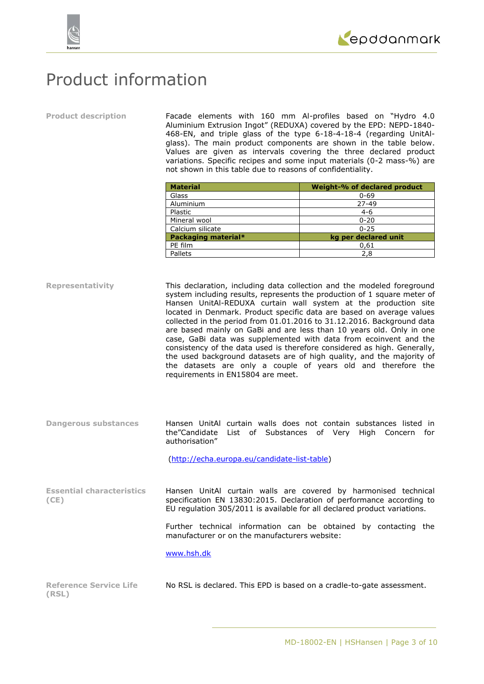

## Product information

**Product description** Facade elements with 160 mm Al-profiles based on "Hydro 4.0 Aluminium Extrusion Ingot" (REDUXA) covered by the EPD: NEPD-1840- 468-EN, and triple glass of the type 6-18-4-18-4 (regarding UnitAlglass). The main product components are shown in the table below. Values are given as intervals covering the three declared product variations. Specific recipes and some input materials (0-2 mass-%) are not shown in this table due to reasons of confidentiality.

| <b>Material</b>     | Weight-% of declared product |
|---------------------|------------------------------|
| Glass               | $0 - 69$                     |
| Aluminium           | $27 - 49$                    |
| Plastic             | $4 - 6$                      |
| Mineral wool        | $0 - 20$                     |
| Calcium silicate    | $0 - 25$                     |
| Packaging material* | kg per declared unit         |
| PE film             | 0,61                         |
| Pallets             | 2,8                          |

**Representativity** This declaration, including data collection and the modeled foreground system including results, represents the production of 1 square meter of Hansen UnitAl-REDUXA curtain wall system at the production site located in Denmark. Product specific data are based on average values collected in the period from 01.01.2016 to 31.12.2016. Background data are based mainly on GaBi and are less than 10 years old. Only in one case, GaBi data was supplemented with data from ecoinvent and the consistency of the data used is therefore considered as high. Generally, the used background datasets are of high quality, and the majority of the datasets are only a couple of years old and therefore the requirements in EN15804 are meet.

**Dangerous substances** Hansen UnitAl curtain walls does not contain substances listed in the"Candidate List of Substances of Very High Concern for authorisation"

[\(http://echa.europa.eu/candidate-list-table\)](http://echa.europa.eu/candidate-list-table)

**Essential characteristics (CE)** Hansen UnitAl curtain walls are covered by harmonised technical specification EN 13830:2015. Declaration of performance according to EU regulation 305/2011 is available for all declared product variations.

> Further technical information can be obtained by contacting the manufacturer or on the manufacturers website:

[www.hsh.dk](http://www.hsh.dk/)

| <b>Reference Service Life</b> |  | No RSL is declared. This EPD is based on a cradle-to-gate assessment. |  |
|-------------------------------|--|-----------------------------------------------------------------------|--|
| (RSL)                         |  |                                                                       |  |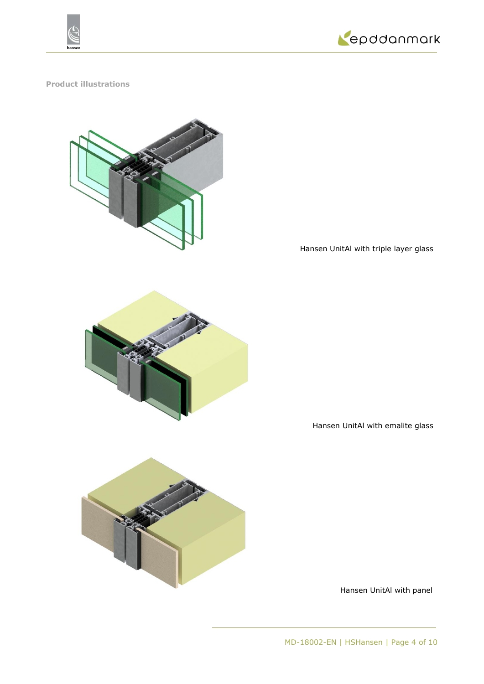



## **Product illustrations**



Hansen UnitAl with triple layer glass



Hansen UnitAl with emalite glass



Hansen UnitAl with panel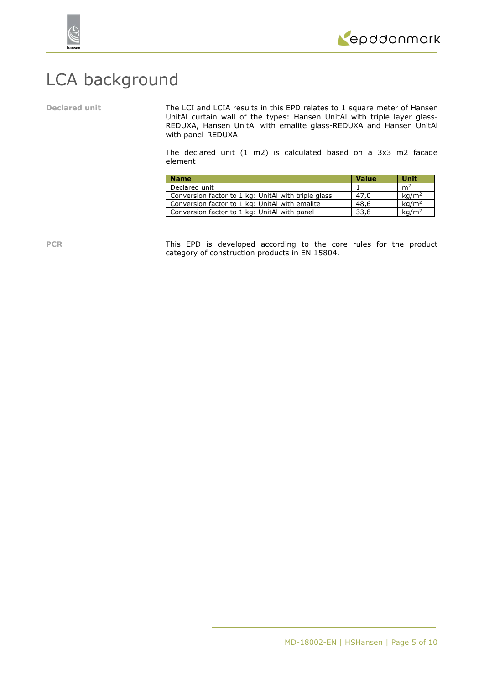

# LCA background

**Declared unit** The LCI and LCIA results in this EPD relates to 1 square meter of Hansen UnitAl curtain wall of the types: Hansen UnitAl with triple layer glass-REDUXA, Hansen UnitAl with emalite glass-REDUXA and Hansen UnitAl with panel-REDUXA.

> The declared unit (1 m2) is calculated based on a 3x3 m2 facade element

| <b>Name</b>                                         | Value | Unit              |
|-----------------------------------------------------|-------|-------------------|
| Declared unit                                       |       | m <sup>2</sup>    |
| Conversion factor to 1 kg: UnitAl with triple glass | 47.0  | kq/m <sup>2</sup> |
| Conversion factor to 1 kg: UnitAl with emalite      | 48.6  | kq/m <sup>2</sup> |
| Conversion factor to 1 kg: UnitAl with panel        | 33.8  | kq/m <sup>2</sup> |

PCR This EPD is developed according to the core rules for the product category of construction products in EN 15804.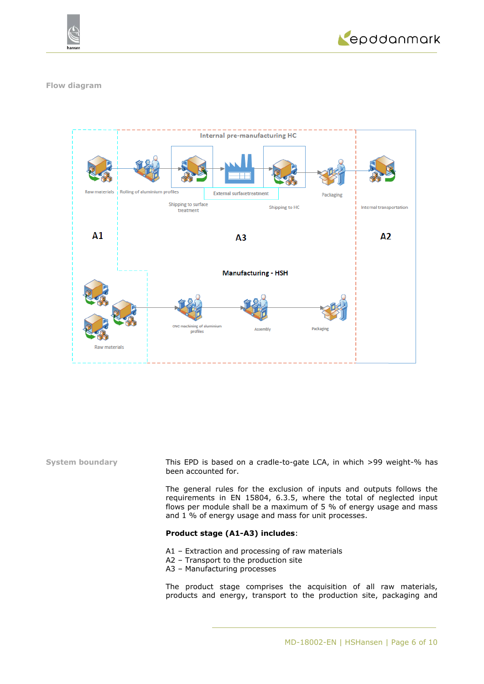



### **Flow diagram**



**System boundary** This EPD is based on a cradle-to-gate LCA, in which >99 weight-% has been accounted for.

> The general rules for the exclusion of inputs and outputs follows the requirements in EN 15804, 6.3.5, where the total of neglected input flows per module shall be a maximum of 5 % of energy usage and mass and 1 % of energy usage and mass for unit processes.

### **Product stage (A1-A3) includes**:

- A1 Extraction and processing of raw materials
- A2 Transport to the production site
- A3 Manufacturing processes

The product stage comprises the acquisition of all raw materials, products and energy, transport to the production site, packaging and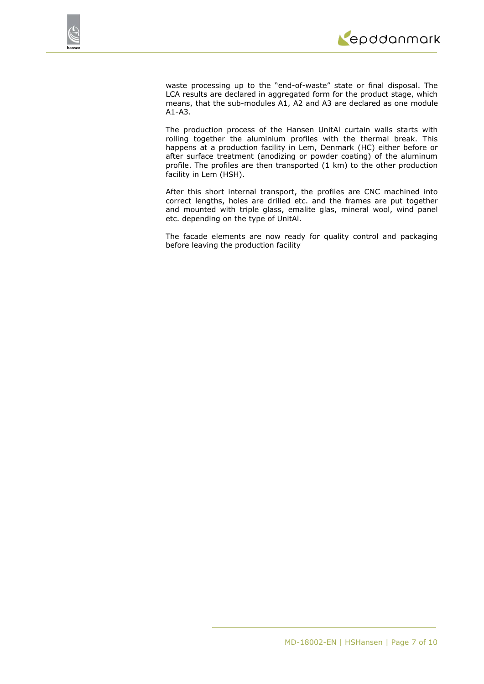

waste processing up to the "end-of-waste" state or final disposal. The LCA results are declared in aggregated form for the product stage, which means, that the sub-modules A1, A2 and A3 are declared as one module A1-A3.

The production process of the Hansen UnitAl curtain walls starts with rolling together the aluminium profiles with the thermal break. This happens at a production facility in Lem, Denmark (HC) either before or after surface treatment (anodizing or powder coating) of the aluminum profile. The profiles are then transported (1 km) to the other production facility in Lem (HSH).

After this short internal transport, the profiles are CNC machined into correct lengths, holes are drilled etc. and the frames are put together and mounted with triple glass, emalite glas, mineral wool, wind panel etc. depending on the type of UnitAl.

The facade elements are now ready for quality control and packaging before leaving the production facility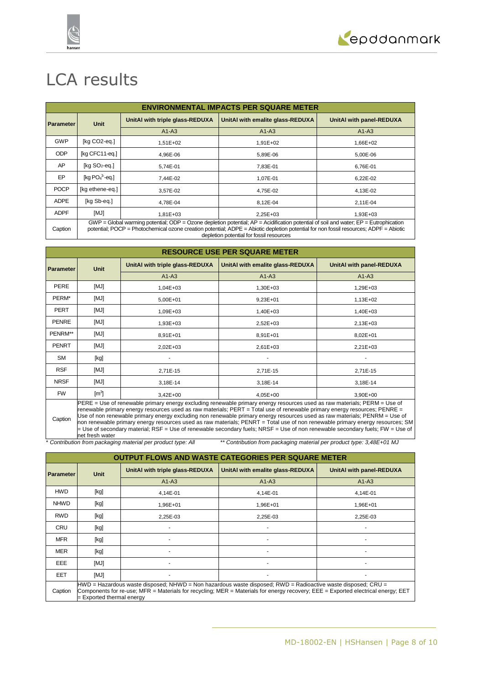



# LCA results

| <b>ENVIRONMENTAL IMPACTS PER SQUARE METER</b> |                                                                                                                                                                                                                                                                                                                                 |                                 |                                  |                          |  |  |
|-----------------------------------------------|---------------------------------------------------------------------------------------------------------------------------------------------------------------------------------------------------------------------------------------------------------------------------------------------------------------------------------|---------------------------------|----------------------------------|--------------------------|--|--|
| <b>Parameter</b>                              | <b>Unit</b>                                                                                                                                                                                                                                                                                                                     | UnitAI with triple glass-REDUXA | UnitAI with emalite glass-REDUXA | UnitAI with panel-REDUXA |  |  |
|                                               |                                                                                                                                                                                                                                                                                                                                 | $A1-A3$                         | $A1-A3$                          | $A1-A3$                  |  |  |
| <b>GWP</b>                                    | [kg CO2-eq.]                                                                                                                                                                                                                                                                                                                    | $1,51E+02$                      | 1,91E+02                         | 1,66E+02                 |  |  |
| <b>ODP</b>                                    | [kg CFC11-eg.]                                                                                                                                                                                                                                                                                                                  | 4,96E-06                        | 5,89E-06                         | 5,00E-06                 |  |  |
| AP                                            | [ $kg SO2-eq.$ ]                                                                                                                                                                                                                                                                                                                | 5.74E-01                        | 7.83E-01                         | 6.76E-01                 |  |  |
| EP                                            | [kg $PO43$ -eq.]                                                                                                                                                                                                                                                                                                                | 7,44E-02                        | 1,07E-01                         | 6,22E-02                 |  |  |
| <b>POCP</b>                                   | [kg ethene-eq.]                                                                                                                                                                                                                                                                                                                 | 3.57E-02                        | 4,75E-02                         | 4,13E-02                 |  |  |
| <b>ADPE</b>                                   | [kg Sb-eg.]                                                                                                                                                                                                                                                                                                                     | 4,78E-04                        | 8,12E-04                         | 2,11E-04                 |  |  |
| <b>ADPF</b>                                   | [MJ]                                                                                                                                                                                                                                                                                                                            | 1,81E+03                        | $2.25E + 03$                     | 1,93E+03                 |  |  |
| Caption                                       | $GWP = Global$ warming potential; ODP = Ozone depletion potential; $AP =$ Acidification potential of soil and water; $EP =$ Eutrophication<br>potential; POCP = Photochemical ozone creation potential; ADPE = Abiotic depletion potential for non fossil resources; ADPF = Abiotic<br>depletion potential for fossil resources |                                 |                                  |                          |  |  |

| <b>RESOURCE USE PER SQUARE METER</b> |                                                                                                                                                                                                                                                                                                                                                                                                                                                                                                  |                                 |                                  |                          |  |  |
|--------------------------------------|--------------------------------------------------------------------------------------------------------------------------------------------------------------------------------------------------------------------------------------------------------------------------------------------------------------------------------------------------------------------------------------------------------------------------------------------------------------------------------------------------|---------------------------------|----------------------------------|--------------------------|--|--|
| <b>Parameter</b>                     | <b>Unit</b>                                                                                                                                                                                                                                                                                                                                                                                                                                                                                      | UnitAl with triple glass-REDUXA | UnitAI with emalite glass-REDUXA | UnitAI with panel-REDUXA |  |  |
|                                      |                                                                                                                                                                                                                                                                                                                                                                                                                                                                                                  | $A1-A3$                         | $A1-A3$                          | $A1-A3$                  |  |  |
| PERE                                 | [MJ]                                                                                                                                                                                                                                                                                                                                                                                                                                                                                             | $1,04E+03$                      | 1,30E+03                         | 1,29E+03                 |  |  |
| PERM*                                | [MJ]                                                                                                                                                                                                                                                                                                                                                                                                                                                                                             | $5,00E+01$                      | $9,23E+01$                       | 1,13E+02                 |  |  |
| <b>PERT</b>                          | [MJ]                                                                                                                                                                                                                                                                                                                                                                                                                                                                                             | $1,09E + 03$                    | 1,40E+03                         | 1,40E+03                 |  |  |
| <b>PENRE</b>                         | [MJ]                                                                                                                                                                                                                                                                                                                                                                                                                                                                                             | 1,93E+03                        | $2,52E+03$                       | 2,13E+03                 |  |  |
| PENRM**                              | [MJ]                                                                                                                                                                                                                                                                                                                                                                                                                                                                                             | 8,91E+01                        | 8,91E+01                         | 8,02E+01                 |  |  |
| <b>PENRT</b>                         | [MJ]                                                                                                                                                                                                                                                                                                                                                                                                                                                                                             | $2,02E+03$                      | $2,61E+03$                       | $2,21E+03$               |  |  |
| <b>SM</b>                            | [kg]                                                                                                                                                                                                                                                                                                                                                                                                                                                                                             |                                 |                                  |                          |  |  |
| <b>RSF</b>                           | [MJ]                                                                                                                                                                                                                                                                                                                                                                                                                                                                                             | 2,71E-15                        | 2,71E-15                         | 2,71E-15                 |  |  |
| <b>NRSF</b>                          | [MJ]                                                                                                                                                                                                                                                                                                                                                                                                                                                                                             | 3,18E-14                        | 3,18E-14                         | 3,18E-14                 |  |  |
| <b>FW</b>                            | $\text{[m}^3\text{]}$                                                                                                                                                                                                                                                                                                                                                                                                                                                                            | $3,42E+00$                      | $4,05E+00$                       | $3.90E + 00$             |  |  |
|                                      | PERE = Use of renewable primary energy excluding renewable primary energy resources used as raw materials; PERM = Use of<br>renewable primary energy resources used as raw materials; PERT = Total use of renewable primary energy resources; PENRE =<br>$\mathbf{r} = \mathbf{r}$ , and the contract of the contract of the contract of the contract of the contract of the contract of the contract of the contract of the contract of the contract of the contract of the contract of the con |                                 |                                  |                          |  |  |

Caption Use of non renewable primary energy excluding non renewable primary energy resources used as raw materials; PENRM = Use of non renewable primary energy resources used as raw materials; PENRT = Total use of non renewable primary energy resources; SM = Use of secondary material; RSF = Use of renewable secondary fuels; NRSF = Use of non renewable secondary fuels; FW = Use of net fresh water

\* *Contribution from packaging material per product type: All \*\* Contribution from packaging material per product type: 3,48E+01 MJ*

| <b>OUTPUT FLOWS AND WASTE CATEGORIES PER SQUARE METER</b> |                                                                                                                                                                                                                                                                               |                                 |                                  |                          |  |  |
|-----------------------------------------------------------|-------------------------------------------------------------------------------------------------------------------------------------------------------------------------------------------------------------------------------------------------------------------------------|---------------------------------|----------------------------------|--------------------------|--|--|
| Parameter                                                 | Unit                                                                                                                                                                                                                                                                          | UnitAI with triple glass-REDUXA | UnitAI with emalite glass-REDUXA | UnitAI with panel-REDUXA |  |  |
|                                                           |                                                                                                                                                                                                                                                                               | $A1-A3$                         | $A1-A3$                          | $A1-A3$                  |  |  |
| <b>HWD</b>                                                | [kg]                                                                                                                                                                                                                                                                          | 4.14E-01                        | 4.14E-01                         | 4,14E-01                 |  |  |
| <b>NHWD</b>                                               | [kg]                                                                                                                                                                                                                                                                          | 1,96E+01                        | 1,96E+01                         | 1,96E+01                 |  |  |
| <b>RWD</b>                                                | [kg]                                                                                                                                                                                                                                                                          | 2,25E-03                        | 2,25E-03                         | 2,25E-03                 |  |  |
| <b>CRU</b>                                                | [kg]                                                                                                                                                                                                                                                                          |                                 |                                  |                          |  |  |
| <b>MFR</b>                                                | [kg]                                                                                                                                                                                                                                                                          |                                 |                                  |                          |  |  |
| <b>MER</b>                                                | [kg]                                                                                                                                                                                                                                                                          |                                 |                                  |                          |  |  |
| EEE                                                       | [MJ]                                                                                                                                                                                                                                                                          |                                 |                                  |                          |  |  |
| <b>EET</b>                                                | [MJ]                                                                                                                                                                                                                                                                          |                                 |                                  |                          |  |  |
| Caption                                                   | HWD = Hazardous waste disposed; NHWD = Non hazardous waste disposed; RWD = Radioactive waste disposed; CRU =<br>Components for re-use; MFR = Materials for recycling; MER = Materials for energy recovery; EEE = Exported electrical energy; EET<br>= Exported thermal energy |                                 |                                  |                          |  |  |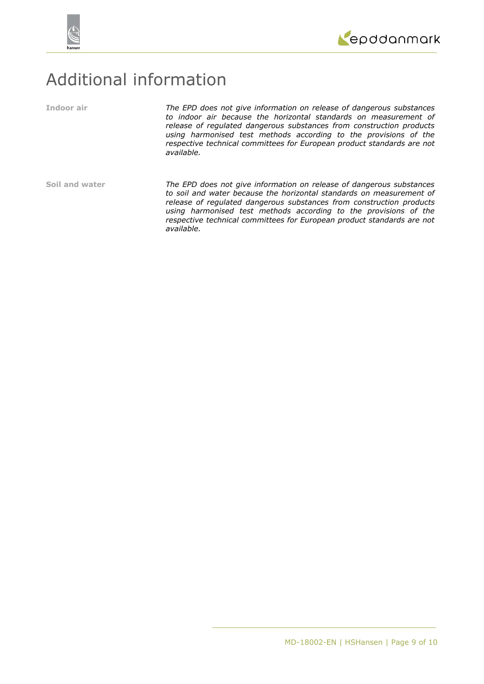



## Additional information

**Indoor air** *The EPD does not give information on release of dangerous substances to indoor air because the horizontal standards on measurement of release of regulated dangerous substances from construction products using harmonised test methods according to the provisions of the respective technical committees for European product standards are not available.*

**Soil and water** *The EPD does not give information on release of dangerous substances to soil and water because the horizontal standards on measurement of release of regulated dangerous substances from construction products using harmonised test methods according to the provisions of the respective technical committees for European product standards are not available.*